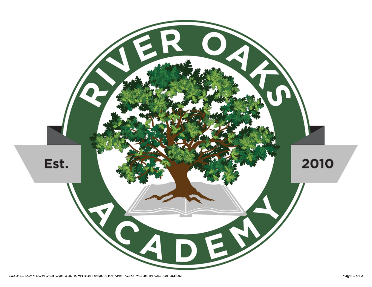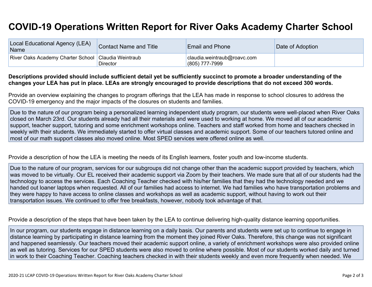## **COVID-19 Operations Written Report for River Oaks Academy Charter School**

| Local Educational Agency (LEA)<br>Name                | Contact Name and Title | <b>Email and Phone</b>                        | Date of Adoption |
|-------------------------------------------------------|------------------------|-----------------------------------------------|------------------|
| River Oaks Academy Charter School   Claudia Weintraub | <b>Director</b>        | claudia.weintraub@roavc.com<br>(805) 777-7999 |                  |

## Descriptions provided should include sufficient detail yet be sufficiently succinct to promote a broader understanding of the changes your LEA has put in place. LEAs are strongly encouraged to provide descriptions that do not exceed 300 words.

Provide an overview explaining the changes to program offerings that the LEA has made in response to school closures to address the COVID-19 emergency and the major impacts of the closures on students and families.

Due to the nature of our program being a personalized learning independent study program, our students were well-placed when River Oaks closed on March 23rd. Our students already had all their materials and were used to working at home. We moved all of our academic support, teacher support, tutoring and some enrichment workshops online. Teachers and staff worked from home and teachers checked in weekly with their students. We immediately started to offer virtual classes and academic support. Some of our teachers tutored online and most of our math support classes also moved online. Most SPED services were offered online as well.

Provide a description of how the LEA is meeting the needs of its English learners, foster youth and low-income students.

Due to the nature of our program, services for our subgroups did not change other than the academic support provided by teachers, which was moved to be virtually. Our EL received their academic support via Zoom by their teachers. We made sure that all of our students had the technology to access the services. Each Coaching Teacher checked with his/her families that they had the technology needed and we handed out loaner laptops when requested. All of our families had access to internet. We had families who have transportation problems and they were happy to have access to online classes and workshops as well as academic support, without having to work out their transportation issues. We continued to offer free breakfasts, however, nobody took advantage of that.

Provide a description of the steps that have been taken by the LEA to continue delivering high-quality distance learning opportunities.

In our program, our students engage in distance learning on a daily basis. Our parents and students were set up to continue to engage in distance learning by participating in distance learning from the moment they joined River Oaks. Therefore, this change was not significant and happened seamlessly. Our teachers moved their academic support online, a variety of enrichment workshops were also provided online as well as tutoring. Services for our SPED students were also moved to online where possible. Most of our students worked daily and turned in work to their Coaching Teacher. Coaching teachers checked in with their students weekly and even more frequently when needed. We